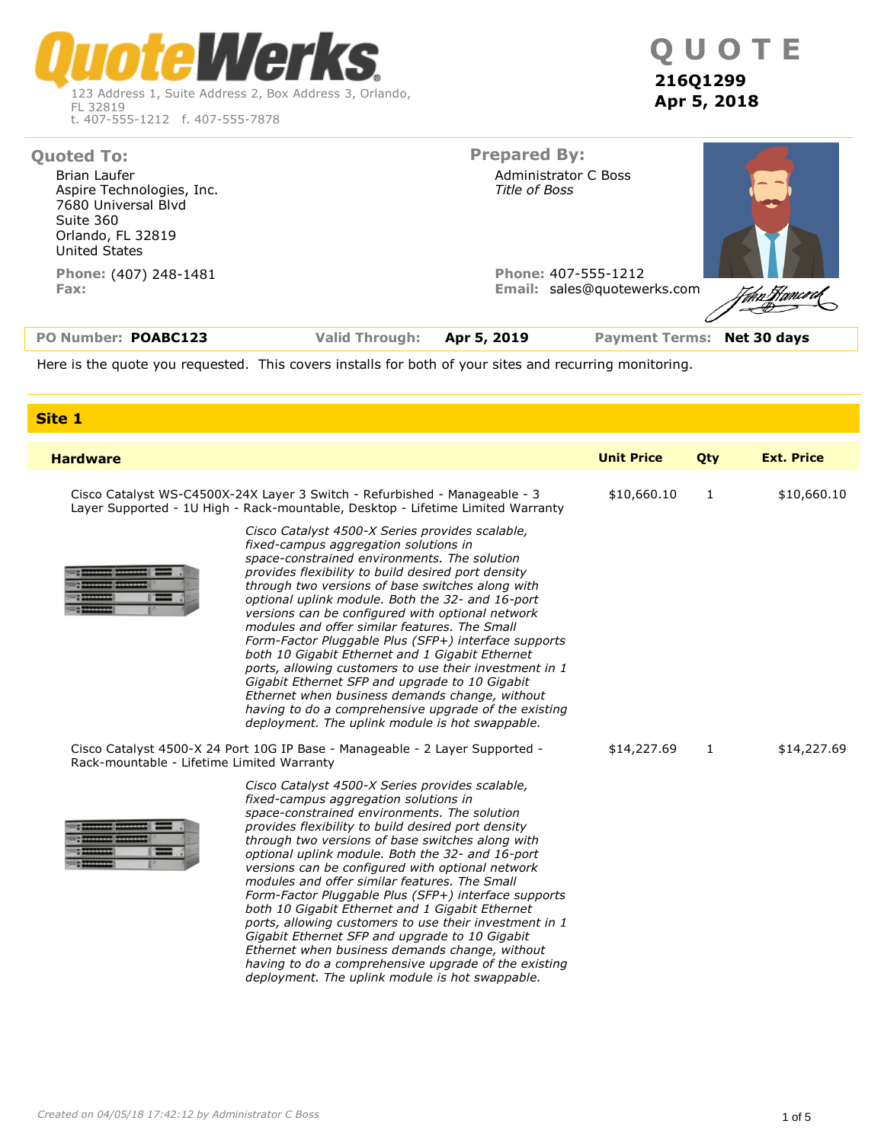Werk R 123 Address 1, Suite Address 2, Box Address 3, Orlando, FL 32819 t. 407-555-1212 f. 407-555-7878

| PO Number: POABC123                                                                                        | <b>Valid Through:</b> | Apr 5, 2019         | Payment Terms: Net 30 days                         |                                     |
|------------------------------------------------------------------------------------------------------------|-----------------------|---------------------|----------------------------------------------------|-------------------------------------|
| Phone: (407) 248-1481<br>Fax:                                                                              |                       |                     | Phone: 407-555-1212<br>Email: sales@quotewerks.com | 7 <sub>6kn</sub> Ffanc <i>o c</i> a |
| Aspire Technologies, Inc.<br>7680 Universal Blvd<br>Suite 360<br>Orlando, FL 32819<br><b>United States</b> |                       | Title of Boss       |                                                    |                                     |
| <b>Quoted To:</b><br>Brian Laufer                                                                          |                       | <b>Prepared By:</b> | Administrator C Boss                               |                                     |
|                                                                                                            |                       |                     |                                                    |                                     |

Here is the quote you requested. This covers installs for both of your sites and recurring monitoring.

| Site 1                                                                                                                                                                                                                                                                                                                                                                                                                                                                                                                                                                                                                                                                                                                                       |                   |     |                   |
|----------------------------------------------------------------------------------------------------------------------------------------------------------------------------------------------------------------------------------------------------------------------------------------------------------------------------------------------------------------------------------------------------------------------------------------------------------------------------------------------------------------------------------------------------------------------------------------------------------------------------------------------------------------------------------------------------------------------------------------------|-------------------|-----|-------------------|
| <b>Hardware</b>                                                                                                                                                                                                                                                                                                                                                                                                                                                                                                                                                                                                                                                                                                                              | <b>Unit Price</b> | Qty | <b>Ext. Price</b> |
| Cisco Catalyst WS-C4500X-24X Layer 3 Switch - Refurbished - Manageable - 3<br>Layer Supported - 1U High - Rack-mountable, Desktop - Lifetime Limited Warranty<br>Cisco Catalyst 4500-X Series provides scalable,<br>fixed-campus aggregation solutions in<br>space-constrained environments. The solution                                                                                                                                                                                                                                                                                                                                                                                                                                    | \$10,660.10       |     | \$10,660.10       |
| provides flexibility to build desired port density<br>through two versions of base switches along with<br>optional uplink module. Both the 32- and 16-port<br>versions can be configured with optional network<br>modules and offer similar features. The Small<br>Form-Factor Pluggable Plus (SFP+) interface supports<br>both 10 Gigabit Ethernet and 1 Gigabit Ethernet<br>ports, allowing customers to use their investment in 1<br>Gigabit Ethernet SFP and upgrade to 10 Gigabit<br>Ethernet when business demands change, without<br>having to do a comprehensive upgrade of the existing<br>deployment. The uplink module is hot swappable.                                                                                          |                   |     |                   |
| Cisco Catalyst 4500-X 24 Port 10G IP Base - Manageable - 2 Layer Supported -<br>Rack-mountable - Lifetime Limited Warranty                                                                                                                                                                                                                                                                                                                                                                                                                                                                                                                                                                                                                   | \$14,227.69       |     | \$14,227.69       |
| Cisco Catalyst 4500-X Series provides scalable,<br>fixed-campus aggregation solutions in<br>space-constrained environments. The solution<br>provides flexibility to build desired port density<br>through two versions of base switches along with<br>optional uplink module. Both the 32- and 16-port<br>versions can be configured with optional network<br>modules and offer similar features. The Small<br>Form-Factor Pluggable Plus (SFP+) interface supports<br>both 10 Gigabit Ethernet and 1 Gigabit Ethernet<br>ports, allowing customers to use their investment in 1<br>Gigabit Ethernet SFP and upgrade to 10 Gigabit<br>Ethernet when business demands change, without<br>having to do a comprehensive upgrade of the existing |                   |     |                   |

*deployment. The uplink module is hot swappable.*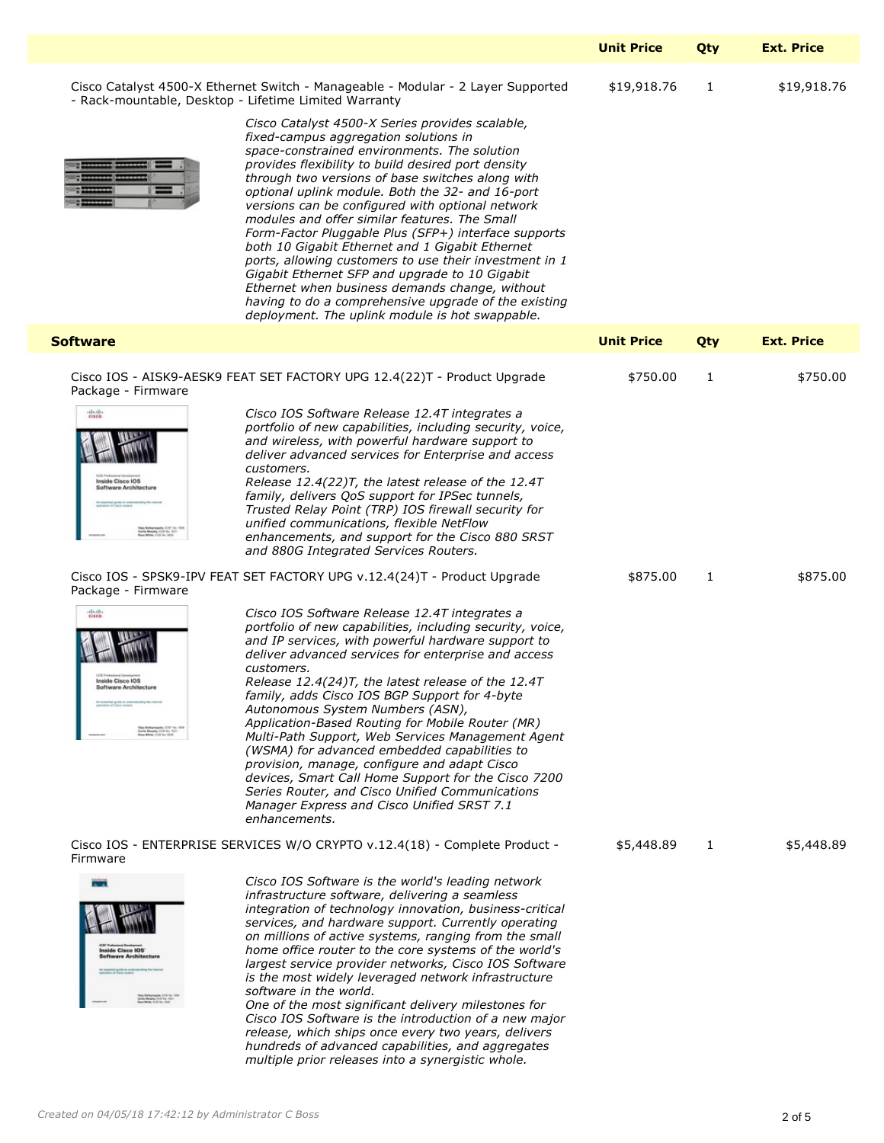|                                                                                                                                                                                                                                                                                                                                                                                               |                                                                                                                                                                                                                                                                                                                                                                                                                                                                                                                                                                                                                                                                                                                                                                                                                                                                                                                                                                                                                                                                                                                                                                                                                                                                                                                                                                                                                                                                           | <b>Unit Price</b>      | Otv            | <b>Ext. Price</b>    |
|-----------------------------------------------------------------------------------------------------------------------------------------------------------------------------------------------------------------------------------------------------------------------------------------------------------------------------------------------------------------------------------------------|---------------------------------------------------------------------------------------------------------------------------------------------------------------------------------------------------------------------------------------------------------------------------------------------------------------------------------------------------------------------------------------------------------------------------------------------------------------------------------------------------------------------------------------------------------------------------------------------------------------------------------------------------------------------------------------------------------------------------------------------------------------------------------------------------------------------------------------------------------------------------------------------------------------------------------------------------------------------------------------------------------------------------------------------------------------------------------------------------------------------------------------------------------------------------------------------------------------------------------------------------------------------------------------------------------------------------------------------------------------------------------------------------------------------------------------------------------------------------|------------------------|----------------|----------------------|
|                                                                                                                                                                                                                                                                                                                                                                                               | Cisco Catalyst 4500-X Ethernet Switch - Manageable - Modular - 2 Layer Supported<br>- Rack-mountable, Desktop - Lifetime Limited Warranty<br>Cisco Catalyst 4500-X Series provides scalable,<br>fixed-campus aggregation solutions in<br>space-constrained environments. The solution<br>provides flexibility to build desired port density<br>through two versions of base switches along with<br>optional uplink module. Both the 32- and 16-port<br>versions can be configured with optional network<br>modules and offer similar features. The Small<br>Form-Factor Pluggable Plus (SFP+) interface supports<br>both 10 Gigabit Ethernet and 1 Gigabit Ethernet<br>ports, allowing customers to use their investment in 1<br>Gigabit Ethernet SFP and upgrade to 10 Gigabit<br>Ethernet when business demands change, without<br>having to do a comprehensive upgrade of the existing<br>deployment. The uplink module is hot swappable.                                                                                                                                                                                                                                                                                                                                                                                                                                                                                                                              | \$19,918.76            | - 1            | \$19,918.76          |
| <b>Software</b>                                                                                                                                                                                                                                                                                                                                                                               |                                                                                                                                                                                                                                                                                                                                                                                                                                                                                                                                                                                                                                                                                                                                                                                                                                                                                                                                                                                                                                                                                                                                                                                                                                                                                                                                                                                                                                                                           | <b>Unit Price</b>      | Qty            | <b>Ext. Price</b>    |
| Package - Firmware<br>diado.<br>CE Published Cisco IOS<br>Inside Cisco IOS<br>Software Architecture<br>As answering guide be contemporating the stress<br>You Belley symbol CCF To:<br>Carlo Marjey, CCF No. 1521-<br>Ross White, CCF No. 2620<br>Package - Firmware<br>entitudo.<br>Software Architecture<br>An expective guide to understanding the starties<br>Cortis Marphy, COE No. 1521 | Cisco IOS - AISK9-AESK9 FEAT SET FACTORY UPG 12.4(22)T - Product Upgrade<br>Cisco IOS Software Release 12.4T integrates a<br>portfolio of new capabilities, including security, voice,<br>and wireless, with powerful hardware support to<br>deliver advanced services for Enterprise and access<br>customers.<br>Release 12.4(22)T, the latest release of the 12.4T<br>family, delivers QoS support for IPSec tunnels,<br>Trusted Relay Point (TRP) IOS firewall security for<br>unified communications, flexible NetFlow<br>enhancements, and support for the Cisco 880 SRST<br>and 880G Integrated Services Routers.<br>Cisco IOS - SPSK9-IPV FEAT SET FACTORY UPG v.12.4(24)T - Product Upgrade<br>Cisco IOS Software Release 12.4T integrates a<br>portfolio of new capabilities, including security, voice,<br>and IP services, with powerful hardware support to<br>deliver advanced services for enterprise and access<br>customers.<br>Release 12.4(24)T, the latest release of the 12.4T<br>family, adds Cisco IOS BGP Support for 4-byte<br>Autonomous System Numbers (ASN),<br>Application-Based Routing for Mobile Router (MR)<br>Multi-Path Support, Web Services Management Agent<br>(WSMA) for advanced embedded capabilities to<br>provision, manage, configure and adapt Cisco<br>devices, Smart Call Home Support for the Cisco 7200<br>Series Router, and Cisco Unified Communications<br>Manager Express and Cisco Unified SRST 7.1<br>enhancements. | \$750.00<br>\$875.00 1 | $\blacksquare$ | \$750.00<br>\$875.00 |
| Firmware<br>cor natural batalons<br>Inside Cisco IOS'<br>Software Architecture<br>As associal guide to understanding the internal<br>representative of Electronics<br>Cartis Margins CO2 No. 1977<br>Reachings CO2 No. 1977<br>Reachings CO2 No. 2022                                                                                                                                         | Cisco IOS - ENTERPRISE SERVICES W/O CRYPTO v.12.4(18) - Complete Product -<br>Cisco IOS Software is the world's leading network<br>infrastructure software, delivering a seamless<br>integration of technology innovation, business-critical<br>services, and hardware support. Currently operating<br>on millions of active systems, ranging from the small<br>home office router to the core systems of the world's<br>largest service provider networks, Cisco IOS Software<br>is the most widely leveraged network infrastructure<br>software in the world.<br>One of the most significant delivery milestones for<br>Cisco IOS Software is the introduction of a new major<br>release, which ships once every two years, delivers<br>hundreds of advanced capabilities, and aggregates<br>multiple prior releases into a synergistic whole.                                                                                                                                                                                                                                                                                                                                                                                                                                                                                                                                                                                                                          | \$5,448.89             |                | \$5,448.89           |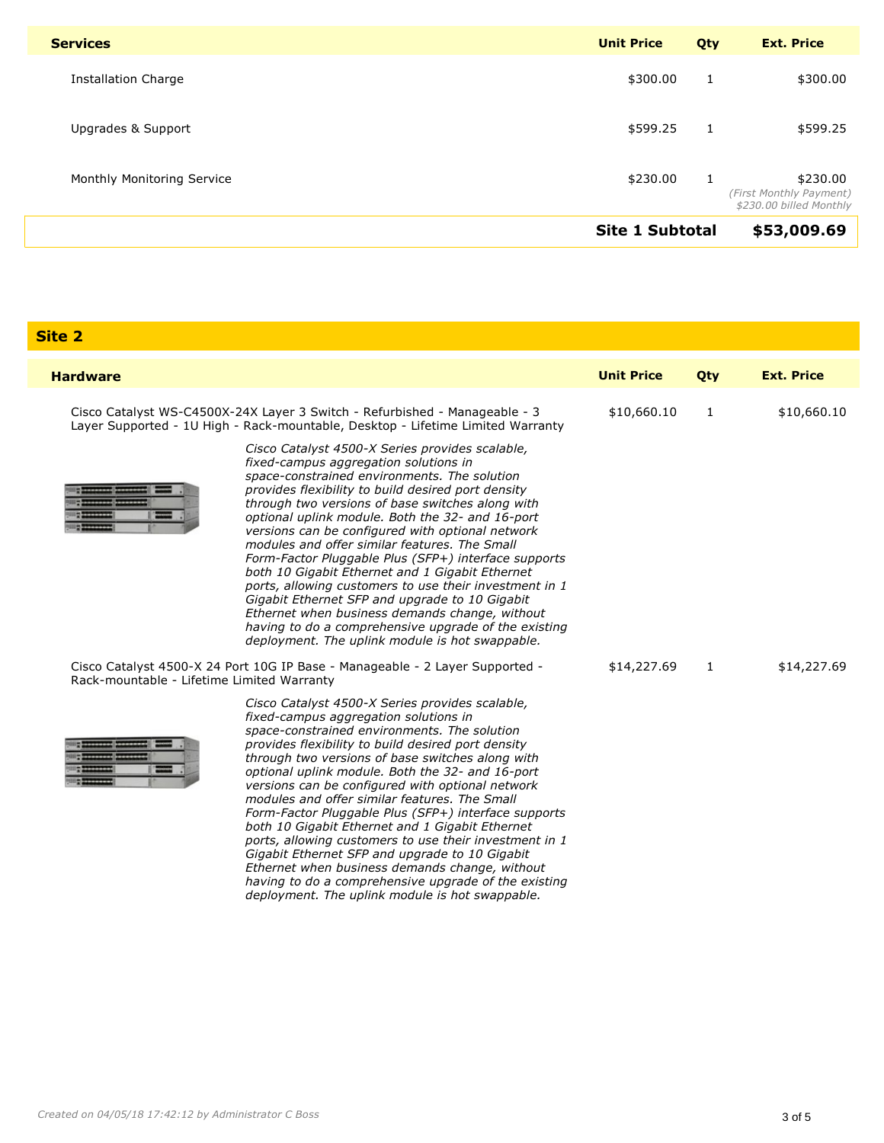| <b>Services</b>            | <b>Unit Price</b>      | Qty | <b>Ext. Price</b>                                              |
|----------------------------|------------------------|-----|----------------------------------------------------------------|
| Installation Charge        | \$300.00               | 1   | \$300.00                                                       |
| Upgrades & Support         | \$599.25               | 1   | \$599.25                                                       |
| Monthly Monitoring Service | \$230.00               | 1   | \$230.00<br>(First Monthly Payment)<br>\$230.00 billed Monthly |
|                            | <b>Site 1 Subtotal</b> |     | \$53,009.69                                                    |

Site 2

| <b>Hardware</b>                                                                                                                                               |                                                                                                                                                                                                                                                                                                                                                                                                                                                                                                                                                                                                                                                                                                                                                                                                                                                                                 | <b>Unit Price</b> | Qty         | <b>Ext. Price</b> |
|---------------------------------------------------------------------------------------------------------------------------------------------------------------|---------------------------------------------------------------------------------------------------------------------------------------------------------------------------------------------------------------------------------------------------------------------------------------------------------------------------------------------------------------------------------------------------------------------------------------------------------------------------------------------------------------------------------------------------------------------------------------------------------------------------------------------------------------------------------------------------------------------------------------------------------------------------------------------------------------------------------------------------------------------------------|-------------------|-------------|-------------------|
| Cisco Catalyst WS-C4500X-24X Layer 3 Switch - Refurbished - Manageable - 3<br>Layer Supported - 1U High - Rack-mountable, Desktop - Lifetime Limited Warranty | \$10,660.10                                                                                                                                                                                                                                                                                                                                                                                                                                                                                                                                                                                                                                                                                                                                                                                                                                                                     | 1                 | \$10,660.10 |                   |
|                                                                                                                                                               | Cisco Catalyst 4500-X Series provides scalable,<br>fixed-campus aggregation solutions in<br>space-constrained environments. The solution<br>provides flexibility to build desired port density<br>through two versions of base switches along with<br>optional uplink module. Both the 32- and 16-port<br>versions can be configured with optional network<br>modules and offer similar features. The Small<br>Form-Factor Pluggable Plus (SFP+) interface supports<br>both 10 Gigabit Ethernet and 1 Gigabit Ethernet<br>ports, allowing customers to use their investment in 1<br>Gigabit Ethernet SFP and upgrade to 10 Gigabit<br>Ethernet when business demands change, without<br>having to do a comprehensive upgrade of the existing<br>deployment. The uplink module is hot swappable.<br>Cisco Catalyst 4500-X 24 Port 10G IP Base - Manageable - 2 Layer Supported - | \$14,227.69       | 1           | \$14,227.69       |
| Rack-mountable - Lifetime Limited Warranty                                                                                                                    |                                                                                                                                                                                                                                                                                                                                                                                                                                                                                                                                                                                                                                                                                                                                                                                                                                                                                 |                   |             |                   |
|                                                                                                                                                               | Cisco Catalyst 4500-X Series provides scalable,<br>fixed-campus aggregation solutions in<br>space-constrained environments. The solution<br>provides flexibility to build desired port density<br>through two versions of base switches along with<br>optional uplink module. Both the 32- and 16-port<br>versions can be configured with optional network<br>modules and offer similar features. The Small<br>Form-Factor Pluggable Plus (SFP+) interface supports<br>both 10 Gigabit Ethernet and 1 Gigabit Ethernet<br>ports, allowing customers to use their investment in 1<br>Gigabit Ethernet SFP and upgrade to 10 Gigabit<br>Ethernet when business demands change, without<br>having to do a comprehensive upgrade of the existing<br>deployment. The uplink module is hot swappable.                                                                                 |                   |             |                   |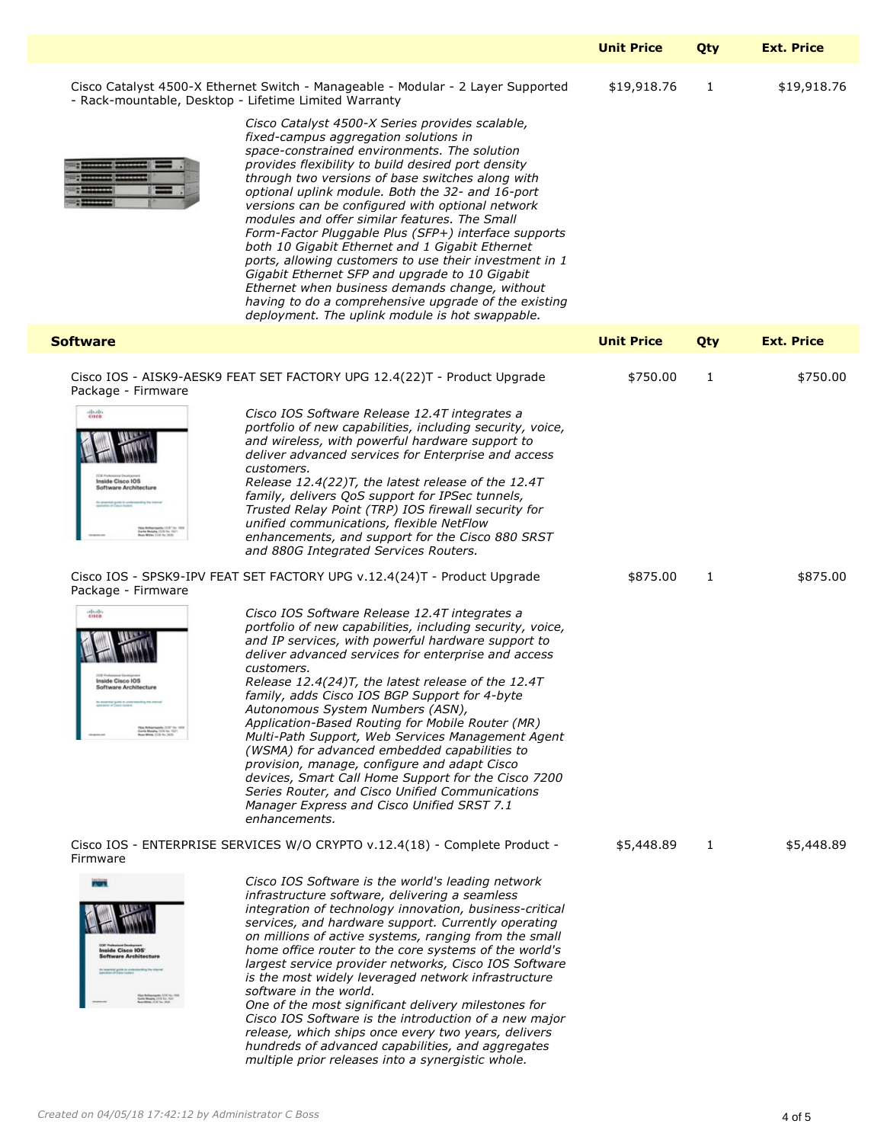|                                                                                                                                                                                                                                                                                                                                                                                               |                                                                                                                                                                                                                                                                                                                                                                                                                                                                                                                                                                                                                                                                                                                                                                                                                                                                                                                                                                                                                                                                                                                                                                                                                                                                                                                                                                                                                                                                           | <b>Unit Price</b>      | Otv            | <b>Ext. Price</b>    |
|-----------------------------------------------------------------------------------------------------------------------------------------------------------------------------------------------------------------------------------------------------------------------------------------------------------------------------------------------------------------------------------------------|---------------------------------------------------------------------------------------------------------------------------------------------------------------------------------------------------------------------------------------------------------------------------------------------------------------------------------------------------------------------------------------------------------------------------------------------------------------------------------------------------------------------------------------------------------------------------------------------------------------------------------------------------------------------------------------------------------------------------------------------------------------------------------------------------------------------------------------------------------------------------------------------------------------------------------------------------------------------------------------------------------------------------------------------------------------------------------------------------------------------------------------------------------------------------------------------------------------------------------------------------------------------------------------------------------------------------------------------------------------------------------------------------------------------------------------------------------------------------|------------------------|----------------|----------------------|
|                                                                                                                                                                                                                                                                                                                                                                                               | Cisco Catalyst 4500-X Ethernet Switch - Manageable - Modular - 2 Layer Supported<br>- Rack-mountable, Desktop - Lifetime Limited Warranty<br>Cisco Catalyst 4500-X Series provides scalable,<br>fixed-campus aggregation solutions in<br>space-constrained environments. The solution<br>provides flexibility to build desired port density<br>through two versions of base switches along with<br>optional uplink module. Both the 32- and 16-port<br>versions can be configured with optional network<br>modules and offer similar features. The Small<br>Form-Factor Pluggable Plus (SFP+) interface supports<br>both 10 Gigabit Ethernet and 1 Gigabit Ethernet<br>ports, allowing customers to use their investment in 1<br>Gigabit Ethernet SFP and upgrade to 10 Gigabit<br>Ethernet when business demands change, without<br>having to do a comprehensive upgrade of the existing<br>deployment. The uplink module is hot swappable.                                                                                                                                                                                                                                                                                                                                                                                                                                                                                                                              | \$19,918.76            | - 1            | \$19,918.76          |
| <b>Software</b>                                                                                                                                                                                                                                                                                                                                                                               |                                                                                                                                                                                                                                                                                                                                                                                                                                                                                                                                                                                                                                                                                                                                                                                                                                                                                                                                                                                                                                                                                                                                                                                                                                                                                                                                                                                                                                                                           | <b>Unit Price</b>      | Qty            | <b>Ext. Price</b>    |
| Package - Firmware<br>diado.<br>CE Published Cisco IOS<br>Inside Cisco IOS<br>Software Architecture<br>As answering guide be contemporating the stress<br>You Belley symbol CCF To:<br>Carlo Marjey, CCF No. 1521-<br>Ross White, CCF No. 2620<br>Package - Firmware<br>entitudo.<br>Software Architecture<br>An expective guide to understanding the starties<br>Cortis Marphy, COE No. 1521 | Cisco IOS - AISK9-AESK9 FEAT SET FACTORY UPG 12.4(22)T - Product Upgrade<br>Cisco IOS Software Release 12.4T integrates a<br>portfolio of new capabilities, including security, voice,<br>and wireless, with powerful hardware support to<br>deliver advanced services for Enterprise and access<br>customers.<br>Release 12.4(22)T, the latest release of the 12.4T<br>family, delivers QoS support for IPSec tunnels,<br>Trusted Relay Point (TRP) IOS firewall security for<br>unified communications, flexible NetFlow<br>enhancements, and support for the Cisco 880 SRST<br>and 880G Integrated Services Routers.<br>Cisco IOS - SPSK9-IPV FEAT SET FACTORY UPG v.12.4(24)T - Product Upgrade<br>Cisco IOS Software Release 12.4T integrates a<br>portfolio of new capabilities, including security, voice,<br>and IP services, with powerful hardware support to<br>deliver advanced services for enterprise and access<br>customers.<br>Release 12.4(24)T, the latest release of the 12.4T<br>family, adds Cisco IOS BGP Support for 4-byte<br>Autonomous System Numbers (ASN),<br>Application-Based Routing for Mobile Router (MR)<br>Multi-Path Support, Web Services Management Agent<br>(WSMA) for advanced embedded capabilities to<br>provision, manage, configure and adapt Cisco<br>devices, Smart Call Home Support for the Cisco 7200<br>Series Router, and Cisco Unified Communications<br>Manager Express and Cisco Unified SRST 7.1<br>enhancements. | \$750.00<br>\$875.00 1 | $\blacksquare$ | \$750.00<br>\$875.00 |
| Firmware<br>cor natural batalons<br>Inside Cisco IOS'<br>Software Architecture<br>As associal guide to understanding the internal<br>representative of Electronics<br>Cartis Margins CO2 No. 1977<br>Reachings CO2 No. 1977<br>Reachings CO2 No. 2022                                                                                                                                         | Cisco IOS - ENTERPRISE SERVICES W/O CRYPTO v.12.4(18) - Complete Product -<br>Cisco IOS Software is the world's leading network<br>infrastructure software, delivering a seamless<br>integration of technology innovation, business-critical<br>services, and hardware support. Currently operating<br>on millions of active systems, ranging from the small<br>home office router to the core systems of the world's<br>largest service provider networks, Cisco IOS Software<br>is the most widely leveraged network infrastructure<br>software in the world.<br>One of the most significant delivery milestones for<br>Cisco IOS Software is the introduction of a new major<br>release, which ships once every two years, delivers<br>hundreds of advanced capabilities, and aggregates<br>multiple prior releases into a synergistic whole.                                                                                                                                                                                                                                                                                                                                                                                                                                                                                                                                                                                                                          | \$5,448.89             |                | \$5,448.89           |